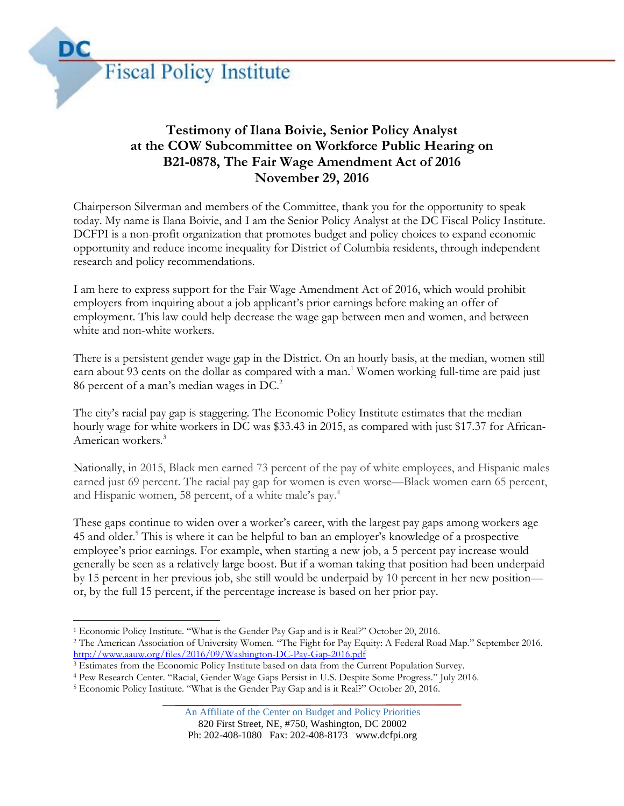

## **Testimony of Ilana Boivie, Senior Policy Analyst at the COW Subcommittee on Workforce Public Hearing on B21-0878, The Fair Wage Amendment Act of 2016 November 29, 2016**

Chairperson Silverman and members of the Committee, thank you for the opportunity to speak today. My name is Ilana Boivie, and I am the Senior Policy Analyst at the DC Fiscal Policy Institute. DCFPI is a non-profit organization that promotes budget and policy choices to expand economic opportunity and reduce income inequality for District of Columbia residents, through independent research and policy recommendations.

I am here to express support for the Fair Wage Amendment Act of 2016, which would prohibit employers from inquiring about a job applicant's prior earnings before making an offer of employment. This law could help decrease the wage gap between men and women, and between white and non-white workers.

There is a persistent gender wage gap in the District. On an hourly basis, at the median, women still earn about 93 cents on the dollar as compared with a man.<sup>1</sup> Women working full-time are paid just 86 percent of a man's median wages in DC.<sup>2</sup>

The city's racial pay gap is staggering. The Economic Policy Institute estimates that the median hourly wage for white workers in DC was \$33.43 in 2015, as compared with just \$17.37 for African-American workers.<sup>3</sup>

Nationally, in 2015, Black men earned 73 percent of the pay of white employees, and Hispanic males earned just 69 percent. The racial pay gap for women is even worse—Black women earn 65 percent, and Hispanic women, 58 percent, of a white male's pay.<sup>4</sup>

These gaps continue to widen over a worker's career, with the largest pay gaps among workers age 45 and older. <sup>5</sup> This is where it can be helpful to ban an employer's knowledge of a prospective employee's prior earnings. For example, when starting a new job, a 5 percent pay increase would generally be seen as a relatively large boost. But if a woman taking that position had been underpaid by 15 percent in her previous job, she still would be underpaid by 10 percent in her new position or, by the full 15 percent, if the percentage increase is based on her prior pay.

 <sup>1</sup> Economic Policy Institute. "What is the Gender Pay Gap and is it Real?" October 20, 2016.

<sup>2</sup> The American Association of University Women. "The Fight for Pay Equity: A Federal Road Map." September 2016. <http://www.aauw.org/files/2016/09/Washington-DC-Pay-Gap-2016.pdf>

<sup>3</sup> Estimates from the Economic Policy Institute based on data from the Current Population Survey.

<sup>4</sup> Pew Research Center. "Racial, Gender Wage Gaps Persist in U.S. Despite Some Progress." July 2016.

<sup>5</sup> Economic Policy Institute. "What is the Gender Pay Gap and is it Real?" October 20, 2016.